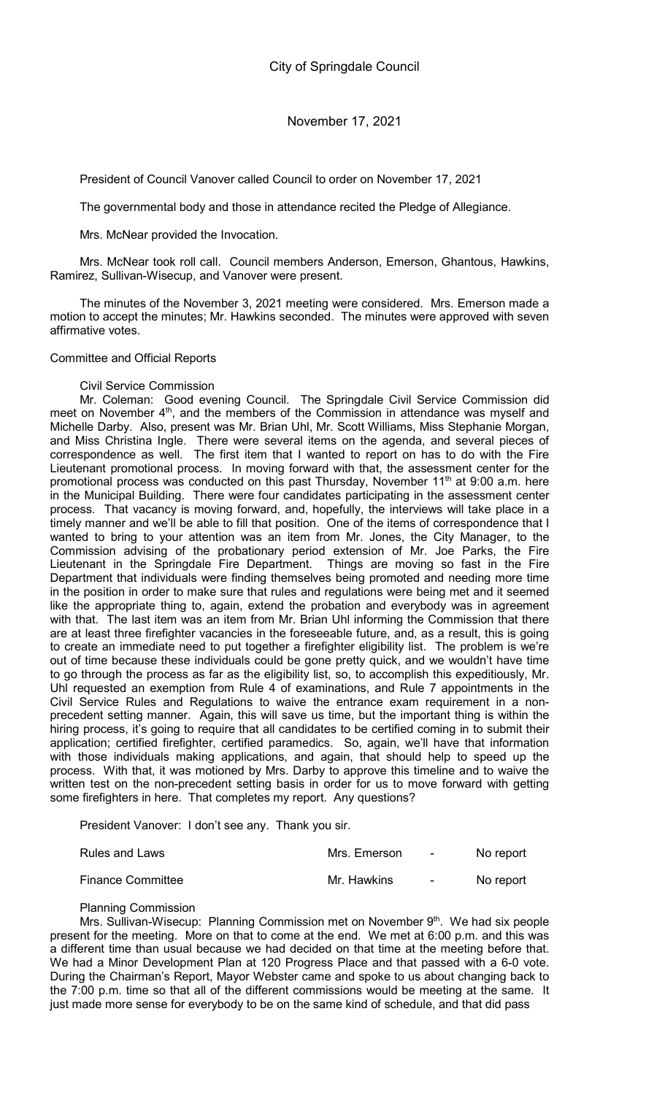President of Council Vanover called Council to order on November 17, 2021

The governmental body and those in attendance recited the Pledge of Allegiance.

Mrs. McNear provided the Invocation.

Mrs. McNear took roll call. Council members Anderson, Emerson, Ghantous, Hawkins, Ramirez, Sullivan-Wisecup, and Vanover were present.

The minutes of the November 3, 2021 meeting were considered. Mrs. Emerson made a motion to accept the minutes; Mr. Hawkins seconded. The minutes were approved with seven affirmative votes.

Committee and Official Reports

## Civil Service Commission

Mr. Coleman: Good evening Council. The Springdale Civil Service Commission did meet on November  $4<sup>th</sup>$ , and the members of the Commission in attendance was myself and Michelle Darby. Also, present was Mr. Brian Uhl, Mr. Scott Williams, Miss Stephanie Morgan, and Miss Christina Ingle. There were several items on the agenda, and several pieces of correspondence as well. The first item that I wanted to report on has to do with the Fire Lieutenant promotional process. In moving forward with that, the assessment center for the promotional process was conducted on this past Thursday, November 11<sup>th</sup> at 9:00 a.m. here in the Municipal Building. There were four candidates participating in the assessment center process. That vacancy is moving forward, and, hopefully, the interviews will take place in a timely manner and we'll be able to fill that position. One of the items of correspondence that I wanted to bring to your attention was an item from Mr. Jones, the City Manager, to the Commission advising of the probationary period extension of Mr. Joe Parks, the Fire Lieutenant in the Springdale Fire Department. Things are moving so fast in the Fire Department that individuals were finding themselves being promoted and needing more time in the position in order to make sure that rules and regulations were being met and it seemed like the appropriate thing to, again, extend the probation and everybody was in agreement with that. The last item was an item from Mr. Brian Uhl informing the Commission that there are at least three firefighter vacancies in the foreseeable future, and, as a result, this is going to create an immediate need to put together a firefighter eligibility list. The problem is we're out of time because these individuals could be gone pretty quick, and we wouldn't have time to go through the process as far as the eligibility list, so, to accomplish this expeditiously, Mr. Uhl requested an exemption from Rule 4 of examinations, and Rule 7 appointments in the Civil Service Rules and Regulations to waive the entrance exam requirement in a nonprecedent setting manner. Again, this will save us time, but the important thing is within the hiring process, it's going to require that all candidates to be certified coming in to submit their application; certified firefighter, certified paramedics. So, again, we'll have that information with those individuals making applications, and again, that should help to speed up the process. With that, it was motioned by Mrs. Darby to approve this timeline and to waive the written test on the non-precedent setting basis in order for us to move forward with getting some firefighters in here. That completes my report. Any questions?

President Vanover: I don't see any. Thank you sir.

| Rules and Laws           | Mrs. Emerson | $\sim 100$ | No report |
|--------------------------|--------------|------------|-----------|
| <b>Finance Committee</b> | Mr. Hawkins  | $\sim 100$ | No report |

Planning Commission

Mrs. Sullivan-Wisecup: Planning Commission met on November 9<sup>th</sup>. We had six people present for the meeting. More on that to come at the end. We met at 6:00 p.m. and this was a different time than usual because we had decided on that time at the meeting before that. We had a Minor Development Plan at 120 Progress Place and that passed with a 6-0 vote. During the Chairman's Report, Mayor Webster came and spoke to us about changing back to the 7:00 p.m. time so that all of the different commissions would be meeting at the same. It just made more sense for everybody to be on the same kind of schedule, and that did pass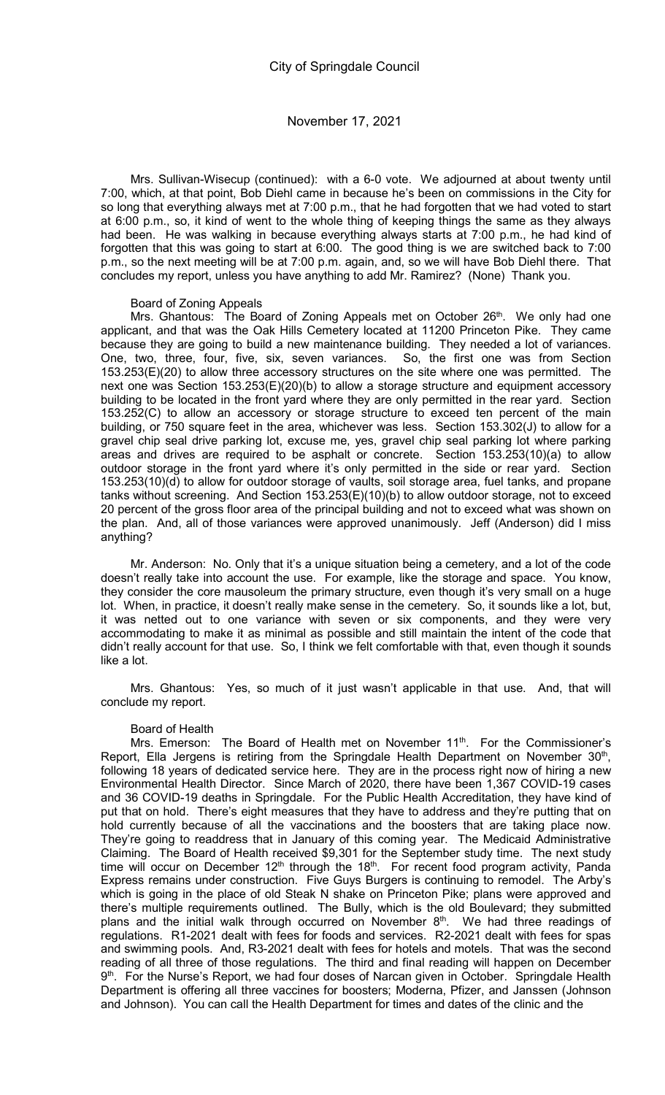Mrs. Sullivan-Wisecup (continued): with a 6-0 vote. We adjourned at about twenty until 7:00, which, at that point, Bob Diehl came in because he's been on commissions in the City for so long that everything always met at 7:00 p.m., that he had forgotten that we had voted to start at 6:00 p.m., so, it kind of went to the whole thing of keeping things the same as they always had been. He was walking in because everything always starts at 7:00 p.m., he had kind of forgotten that this was going to start at 6:00. The good thing is we are switched back to 7:00 p.m., so the next meeting will be at 7:00 p.m. again, and, so we will have Bob Diehl there. That concludes my report, unless you have anything to add Mr. Ramirez? (None) Thank you.

### Board of Zoning Appeals

Mrs. Ghantous: The Board of Zoning Appeals met on October 26<sup>th</sup>. We only had one applicant, and that was the Oak Hills Cemetery located at 11200 Princeton Pike. They came because they are going to build a new maintenance building. They needed a lot of variances. One, two, three, four, five, six, seven variances. So, the first one was from Section 153.253(E)(20) to allow three accessory structures on the site where one was permitted. The next one was Section 153.253(E)(20)(b) to allow a storage structure and equipment accessory building to be located in the front yard where they are only permitted in the rear yard. Section 153.252(C) to allow an accessory or storage structure to exceed ten percent of the main building, or 750 square feet in the area, whichever was less. Section 153.302(J) to allow for a gravel chip seal drive parking lot, excuse me, yes, gravel chip seal parking lot where parking areas and drives are required to be asphalt or concrete. Section 153.253(10)(a) to allow outdoor storage in the front yard where it's only permitted in the side or rear yard. Section 153.253(10)(d) to allow for outdoor storage of vaults, soil storage area, fuel tanks, and propane tanks without screening. And Section 153.253(E)(10)(b) to allow outdoor storage, not to exceed 20 percent of the gross floor area of the principal building and not to exceed what was shown on the plan. And, all of those variances were approved unanimously. Jeff (Anderson) did I miss anything?

Mr. Anderson: No. Only that it's a unique situation being a cemetery, and a lot of the code doesn't really take into account the use. For example, like the storage and space. You know, they consider the core mausoleum the primary structure, even though it's very small on a huge lot. When, in practice, it doesn't really make sense in the cemetery. So, it sounds like a lot, but, it was netted out to one variance with seven or six components, and they were very accommodating to make it as minimal as possible and still maintain the intent of the code that didn't really account for that use. So, I think we felt comfortable with that, even though it sounds like a lot.

Mrs. Ghantous: Yes, so much of it just wasn't applicable in that use. And, that will conclude my report.

### Board of Health

Mrs. Emerson: The Board of Health met on November 11<sup>th</sup>. For the Commissioner's Report, Ella Jergens is retiring from the Springdale Health Department on November  $30<sup>th</sup>$ , following 18 years of dedicated service here. They are in the process right now of hiring a new Environmental Health Director. Since March of 2020, there have been 1,367 COVID-19 cases and 36 COVID-19 deaths in Springdale. For the Public Health Accreditation, they have kind of put that on hold. There's eight measures that they have to address and they're putting that on hold currently because of all the vaccinations and the boosters that are taking place now. They're going to readdress that in January of this coming year. The Medicaid Administrative Claiming. The Board of Health received \$9,301 for the September study time. The next study time will occur on December  $12<sup>th</sup>$  through the  $18<sup>th</sup>$ . For recent food program activity, Panda Express remains under construction. Five Guys Burgers is continuing to remodel. The Arby's which is going in the place of old Steak N shake on Princeton Pike; plans were approved and there's multiple requirements outlined. The Bully, which is the old Boulevard; they submitted plans and the initial walk through occurred on November  $8<sup>th</sup>$ . We had three readings of regulations. R1-2021 dealt with fees for foods and services. R2-2021 dealt with fees for spas and swimming pools. And, R3-2021 dealt with fees for hotels and motels. That was the second reading of all three of those regulations. The third and final reading will happen on December 9<sup>th</sup>. For the Nurse's Report, we had four doses of Narcan given in October. Springdale Health Department is offering all three vaccines for boosters; Moderna, Pfizer, and Janssen (Johnson and Johnson). You can call the Health Department for times and dates of the clinic and the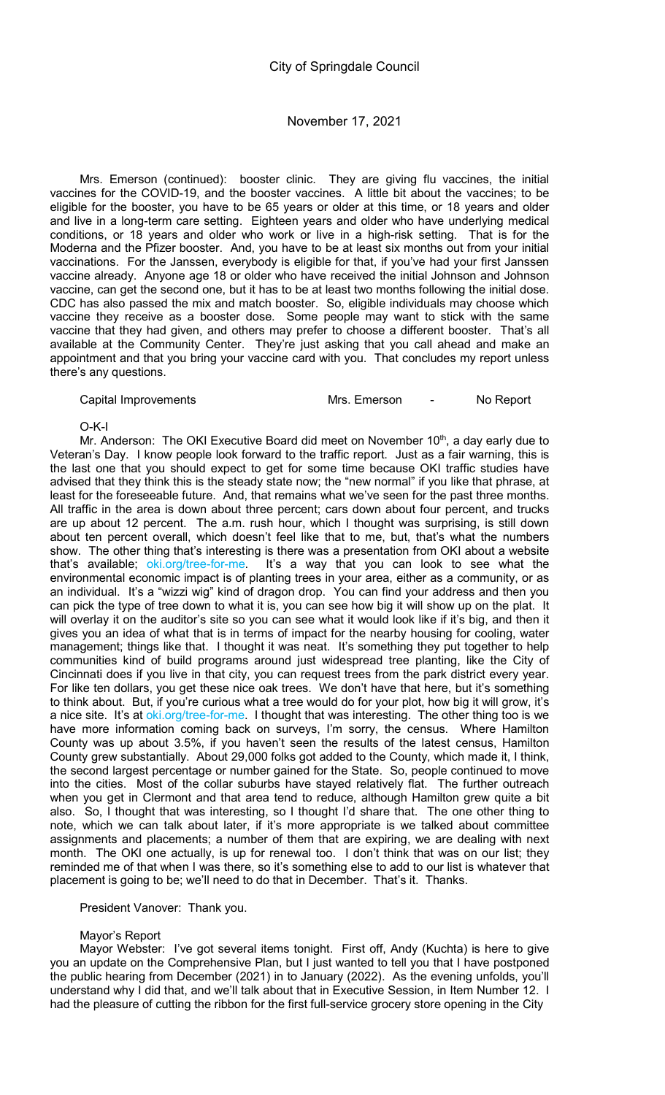Mrs. Emerson (continued): booster clinic. They are giving flu vaccines, the initial vaccines for the COVID-19, and the booster vaccines. A little bit about the vaccines; to be eligible for the booster, you have to be 65 years or older at this time, or 18 years and older and live in a long-term care setting. Eighteen years and older who have underlying medical conditions, or 18 years and older who work or live in a high-risk setting. That is for the Moderna and the Pfizer booster. And, you have to be at least six months out from your initial vaccinations. For the Janssen, everybody is eligible for that, if you've had your first Janssen vaccine already. Anyone age 18 or older who have received the initial Johnson and Johnson vaccine, can get the second one, but it has to be at least two months following the initial dose. CDC has also passed the mix and match booster. So, eligible individuals may choose which vaccine they receive as a booster dose. Some people may want to stick with the same vaccine that they had given, and others may prefer to choose a different booster. That's all available at the Community Center. They're just asking that you call ahead and make an appointment and that you bring your vaccine card with you. That concludes my report unless there's any questions.

Capital Improvements **Mrs. Emerson** - No Report

O-K-I

Mr. Anderson: The OKI Executive Board did meet on November  $10<sup>th</sup>$ , a day early due to Veteran's Day. I know people look forward to the traffic report. Just as a fair warning, this is the last one that you should expect to get for some time because OKI traffic studies have advised that they think this is the steady state now; the "new normal" if you like that phrase, at least for the foreseeable future. And, that remains what we've seen for the past three months. All traffic in the area is down about three percent; cars down about four percent, and trucks are up about 12 percent. The a.m. rush hour, which I thought was surprising, is still down about ten percent overall, which doesn't feel like that to me, but, that's what the numbers show. The other thing that's interesting is there was a presentation from OKI about a website that's available; oki.org/tree-for-me. It's a way that you can look to see what the environmental economic impact is of planting trees in your area, either as a community, or as an individual. It's a "wizzi wig" kind of dragon drop. You can find your address and then you can pick the type of tree down to what it is, you can see how big it will show up on the plat. It will overlay it on the auditor's site so you can see what it would look like if it's big, and then it gives you an idea of what that is in terms of impact for the nearby housing for cooling, water management; things like that. I thought it was neat. It's something they put together to help communities kind of build programs around just widespread tree planting, like the City of Cincinnati does if you live in that city, you can request trees from the park district every year. For like ten dollars, you get these nice oak trees. We don't have that here, but it's something to think about. But, if you're curious what a tree would do for your plot, how big it will grow, it's a nice site. It's at oki.org/tree-for-me. I thought that was interesting. The other thing too is we have more information coming back on surveys, I'm sorry, the census. Where Hamilton County was up about 3.5%, if you haven't seen the results of the latest census, Hamilton County grew substantially. About 29,000 folks got added to the County, which made it, I think, the second largest percentage or number gained for the State. So, people continued to move into the cities. Most of the collar suburbs have stayed relatively flat. The further outreach when you get in Clermont and that area tend to reduce, although Hamilton grew quite a bit also. So, I thought that was interesting, so I thought I'd share that. The one other thing to note, which we can talk about later, if it's more appropriate is we talked about committee assignments and placements; a number of them that are expiring, we are dealing with next month. The OKI one actually, is up for renewal too. I don't think that was on our list; they reminded me of that when I was there, so it's something else to add to our list is whatever that placement is going to be; we'll need to do that in December. That's it. Thanks.

## President Vanover: Thank you.

# Mayor's Report

Mayor Webster: I've got several items tonight. First off, Andy (Kuchta) is here to give you an update on the Comprehensive Plan, but I just wanted to tell you that I have postponed the public hearing from December (2021) in to January (2022). As the evening unfolds, you'll understand why I did that, and we'll talk about that in Executive Session, in Item Number 12. I had the pleasure of cutting the ribbon for the first full-service grocery store opening in the City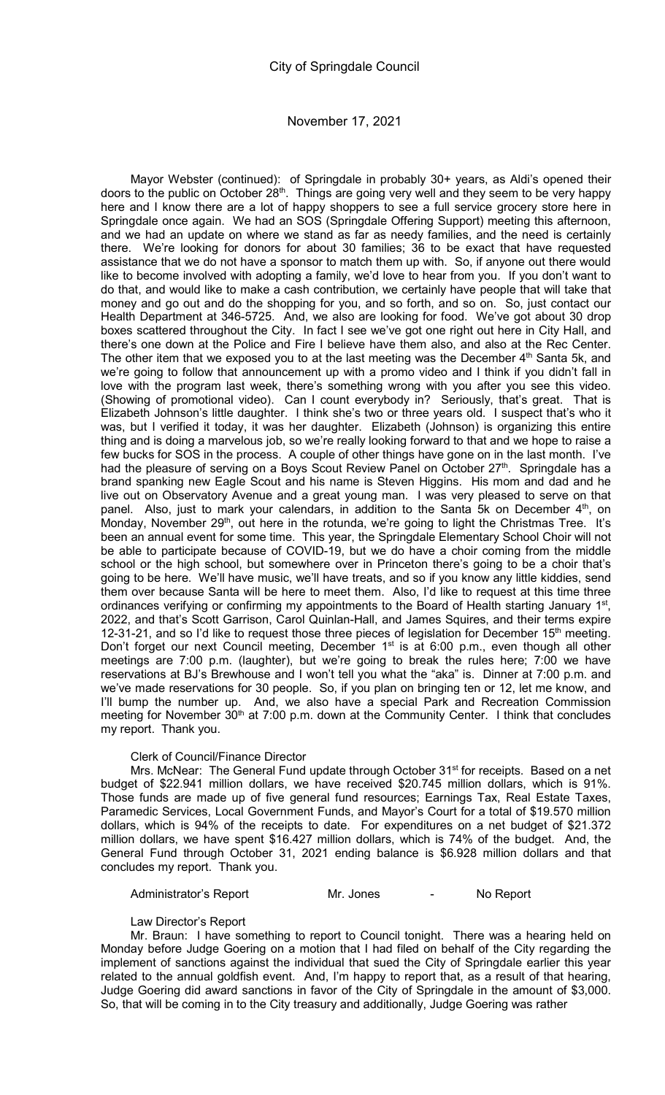Mayor Webster (continued): of Springdale in probably 30+ years, as Aldi's opened their doors to the public on October 28<sup>th</sup>. Things are going very well and they seem to be very happy here and I know there are a lot of happy shoppers to see a full service grocery store here in Springdale once again. We had an SOS (Springdale Offering Support) meeting this afternoon, and we had an update on where we stand as far as needy families, and the need is certainly there. We're looking for donors for about 30 families; 36 to be exact that have requested assistance that we do not have a sponsor to match them up with. So, if anyone out there would like to become involved with adopting a family, we'd love to hear from you. If you don't want to do that, and would like to make a cash contribution, we certainly have people that will take that money and go out and do the shopping for you, and so forth, and so on. So, just contact our Health Department at 346-5725. And, we also are looking for food. We've got about 30 drop boxes scattered throughout the City. In fact I see we've got one right out here in City Hall, and there's one down at the Police and Fire I believe have them also, and also at the Rec Center. The other item that we exposed you to at the last meeting was the December 4<sup>th</sup> Santa 5k, and we're going to follow that announcement up with a promo video and I think if you didn't fall in love with the program last week, there's something wrong with you after you see this video. (Showing of promotional video). Can I count everybody in? Seriously, that's great. That is Elizabeth Johnson's little daughter. I think she's two or three years old. I suspect that's who it was, but I verified it today, it was her daughter. Elizabeth (Johnson) is organizing this entire thing and is doing a marvelous job, so we're really looking forward to that and we hope to raise a few bucks for SOS in the process. A couple of other things have gone on in the last month. I've had the pleasure of serving on a Boys Scout Review Panel on October 27<sup>th</sup>. Springdale has a brand spanking new Eagle Scout and his name is Steven Higgins. His mom and dad and he live out on Observatory Avenue and a great young man. I was very pleased to serve on that panel. Also, just to mark your calendars, in addition to the Santa 5k on December  $4<sup>th</sup>$ , on Monday, November 29<sup>th</sup>, out here in the rotunda, we're going to light the Christmas Tree. It's been an annual event for some time. This year, the Springdale Elementary School Choir will not be able to participate because of COVID-19, but we do have a choir coming from the middle school or the high school, but somewhere over in Princeton there's going to be a choir that's going to be here. We'll have music, we'll have treats, and so if you know any little kiddies, send them over because Santa will be here to meet them. Also, I'd like to request at this time three ordinances verifying or confirming my appointments to the Board of Health starting January 1<sup>st</sup>, 2022, and that's Scott Garrison, Carol Quinlan-Hall, and James Squires, and their terms expire 12-31-21, and so I'd like to request those three pieces of legislation for December 15<sup>th</sup> meeting. Don't forget our next Council meeting, December 1<sup>st</sup> is at 6:00 p.m., even though all other meetings are 7:00 p.m. (laughter), but we're going to break the rules here; 7:00 we have reservations at BJ's Brewhouse and I won't tell you what the "aka" is. Dinner at 7:00 p.m. and we've made reservations for 30 people. So, if you plan on bringing ten or 12, let me know, and I'll bump the number up. And, we also have a special Park and Recreation Commission meeting for November  $30<sup>th</sup>$  at 7:00 p.m. down at the Community Center. I think that concludes my report. Thank you.

## Clerk of Council/Finance Director

Mrs. McNear: The General Fund update through October 31<sup>st</sup> for receipts. Based on a net budget of \$22.941 million dollars, we have received \$20.745 million dollars, which is 91%. Those funds are made up of five general fund resources; Earnings Tax, Real Estate Taxes, Paramedic Services, Local Government Funds, and Mayor's Court for a total of \$19.570 million dollars, which is 94% of the receipts to date. For expenditures on a net budget of \$21.372 million dollars, we have spent \$16.427 million dollars, which is 74% of the budget. And, the General Fund through October 31, 2021 ending balance is \$6.928 million dollars and that concludes my report. Thank you.

Administrator's Report **Mr.** Jones **Communistrator's Report** 

Law Director's Report

Mr. Braun: I have something to report to Council tonight. There was a hearing held on Monday before Judge Goering on a motion that I had filed on behalf of the City regarding the implement of sanctions against the individual that sued the City of Springdale earlier this year related to the annual goldfish event. And, I'm happy to report that, as a result of that hearing, Judge Goering did award sanctions in favor of the City of Springdale in the amount of \$3,000. So, that will be coming in to the City treasury and additionally, Judge Goering was rather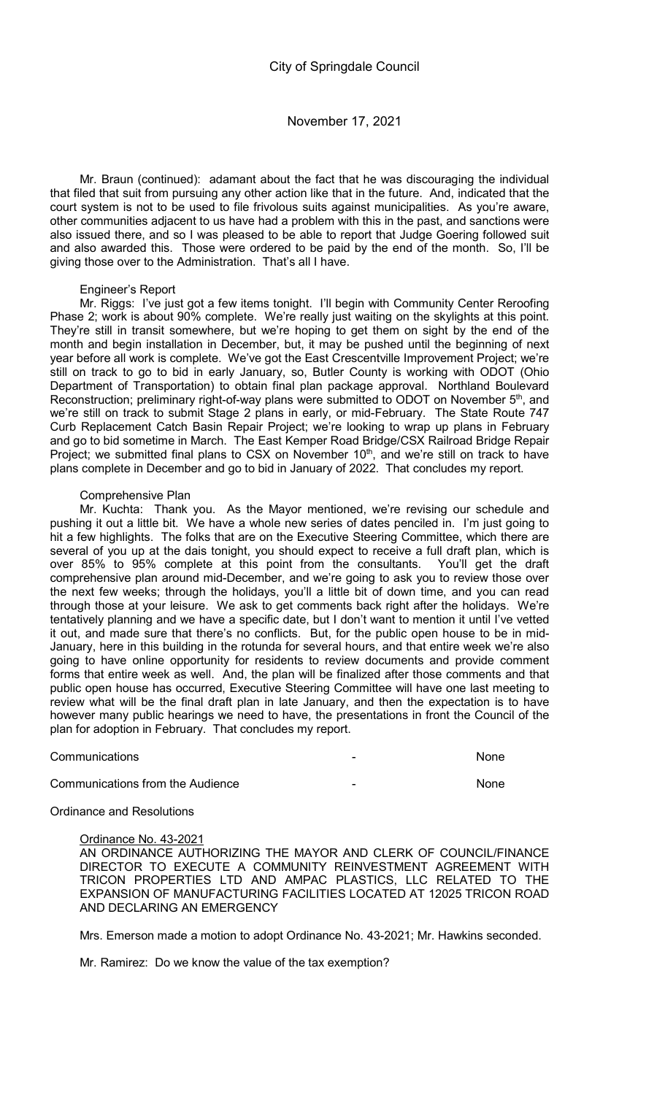Mr. Braun (continued): adamant about the fact that he was discouraging the individual that filed that suit from pursuing any other action like that in the future. And, indicated that the court system is not to be used to file frivolous suits against municipalities. As you're aware, other communities adjacent to us have had a problem with this in the past, and sanctions were also issued there, and so I was pleased to be able to report that Judge Goering followed suit and also awarded this. Those were ordered to be paid by the end of the month. So, I'll be giving those over to the Administration. That's all I have.

## Engineer's Report

Mr. Riggs: I've just got a few items tonight. I'll begin with Community Center Reroofing Phase 2; work is about 90% complete. We're really just waiting on the skylights at this point. They're still in transit somewhere, but we're hoping to get them on sight by the end of the month and begin installation in December, but, it may be pushed until the beginning of next year before all work is complete. We've got the East Crescentville Improvement Project; we're still on track to go to bid in early January, so, Butler County is working with ODOT (Ohio Department of Transportation) to obtain final plan package approval. Northland Boulevard Reconstruction; preliminary right-of-way plans were submitted to ODOT on November 5<sup>th</sup>, and we're still on track to submit Stage 2 plans in early, or mid-February. The State Route 747 Curb Replacement Catch Basin Repair Project; we're looking to wrap up plans in February and go to bid sometime in March. The East Kemper Road Bridge/CSX Railroad Bridge Repair Project; we submitted final plans to CSX on November 10<sup>th</sup>, and we're still on track to have plans complete in December and go to bid in January of 2022. That concludes my report.

## Comprehensive Plan

Mr. Kuchta: Thank you. As the Mayor mentioned, we're revising our schedule and pushing it out a little bit. We have a whole new series of dates penciled in. I'm just going to hit a few highlights. The folks that are on the Executive Steering Committee, which there are several of you up at the dais tonight, you should expect to receive a full draft plan, which is over 85% to 95% complete at this point from the consultants. You'll get the draft comprehensive plan around mid-December, and we're going to ask you to review those over the next few weeks; through the holidays, you'll a little bit of down time, and you can read through those at your leisure. We ask to get comments back right after the holidays. We're tentatively planning and we have a specific date, but I don't want to mention it until I've vetted it out, and made sure that there's no conflicts. But, for the public open house to be in mid-January, here in this building in the rotunda for several hours, and that entire week we're also going to have online opportunity for residents to review documents and provide comment forms that entire week as well. And, the plan will be finalized after those comments and that public open house has occurred, Executive Steering Committee will have one last meeting to review what will be the final draft plan in late January, and then the expectation is to have however many public hearings we need to have, the presentations in front the Council of the plan for adoption in February. That concludes my report.

| Communications                   | None        |
|----------------------------------|-------------|
| Communications from the Audience | <b>None</b> |

## Ordinance and Resolutions

Ordinance No. 43-2021

AN ORDINANCE AUTHORIZING THE MAYOR AND CLERK OF COUNCIL/FINANCE DIRECTOR TO EXECUTE A COMMUNITY REINVESTMENT AGREEMENT WITH TRICON PROPERTIES LTD AND AMPAC PLASTICS, LLC RELATED TO THE EXPANSION OF MANUFACTURING FACILITIES LOCATED AT 12025 TRICON ROAD AND DECLARING AN EMERGENCY

Mrs. Emerson made a motion to adopt Ordinance No. 43-2021; Mr. Hawkins seconded.

Mr. Ramirez: Do we know the value of the tax exemption?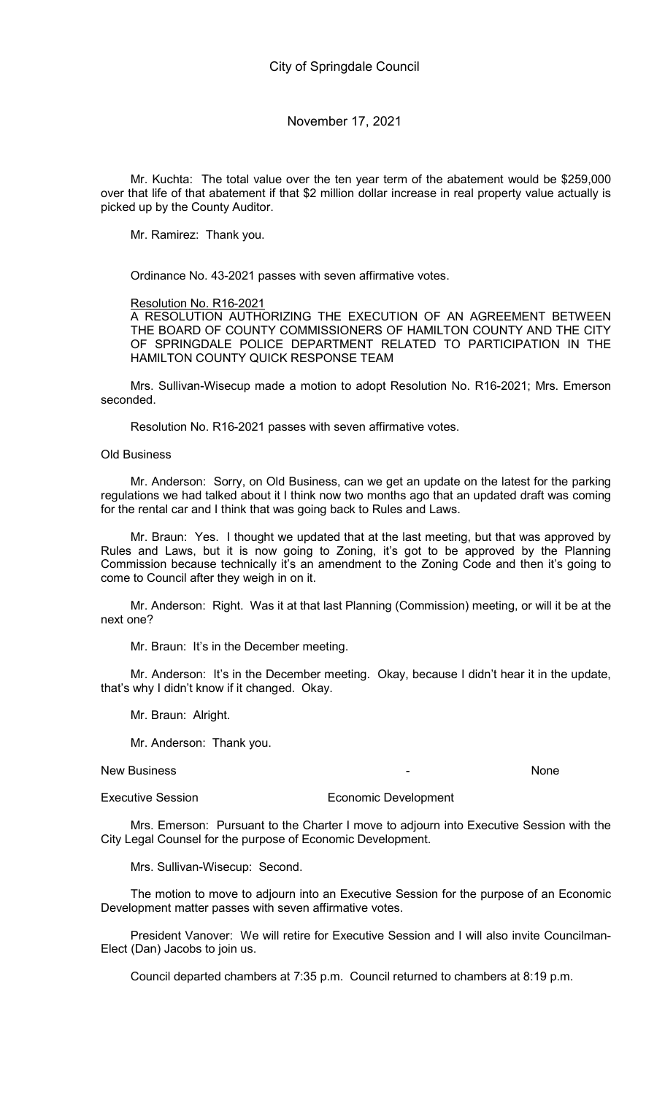Mr. Kuchta: The total value over the ten year term of the abatement would be \$259,000 over that life of that abatement if that \$2 million dollar increase in real property value actually is picked up by the County Auditor.

Mr. Ramirez: Thank you.

Ordinance No. 43-2021 passes with seven affirmative votes.

Resolution No. R16-2021

A RESOLUTION AUTHORIZING THE EXECUTION OF AN AGREEMENT BETWEEN THE BOARD OF COUNTY COMMISSIONERS OF HAMILTON COUNTY AND THE CITY OF SPRINGDALE POLICE DEPARTMENT RELATED TO PARTICIPATION IN THE HAMILTON COUNTY QUICK RESPONSE TEAM

Mrs. Sullivan-Wisecup made a motion to adopt Resolution No. R16-2021; Mrs. Emerson seconded.

Resolution No. R16-2021 passes with seven affirmative votes.

Old Business

Mr. Anderson: Sorry, on Old Business, can we get an update on the latest for the parking regulations we had talked about it I think now two months ago that an updated draft was coming for the rental car and I think that was going back to Rules and Laws.

Mr. Braun: Yes. I thought we updated that at the last meeting, but that was approved by Rules and Laws, but it is now going to Zoning, it's got to be approved by the Planning Commission because technically it's an amendment to the Zoning Code and then it's going to come to Council after they weigh in on it.

Mr. Anderson: Right. Was it at that last Planning (Commission) meeting, or will it be at the next one?

Mr. Braun: It's in the December meeting.

Mr. Anderson: It's in the December meeting. Okay, because I didn't hear it in the update, that's why I didn't know if it changed. Okay.

Mr. Braun: Alright.

Mr. Anderson: Thank you.

New Business **New Business None** 

Executive Session **Executive Session** Economic Development

Mrs. Emerson: Pursuant to the Charter I move to adjourn into Executive Session with the City Legal Counsel for the purpose of Economic Development.

Mrs. Sullivan-Wisecup: Second.

The motion to move to adjourn into an Executive Session for the purpose of an Economic Development matter passes with seven affirmative votes.

President Vanover: We will retire for Executive Session and I will also invite Councilman-Elect (Dan) Jacobs to join us.

Council departed chambers at 7:35 p.m. Council returned to chambers at 8:19 p.m.